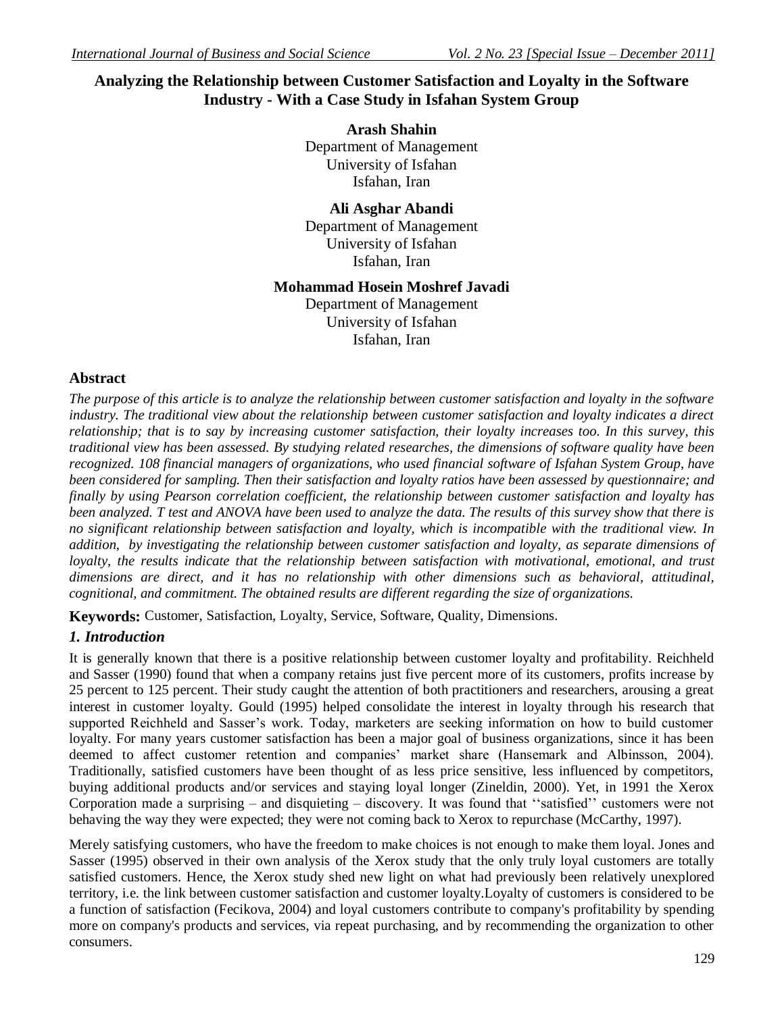# **Analyzing the Relationship between Customer Satisfaction and Loyalty in the Software Industry - With a Case Study in Isfahan System Group**

**Arash Shahin** Department of Management University of Isfahan Isfahan, Iran

**Ali Asghar Abandi** Department of Management University of Isfahan Isfahan, Iran

**Mohammad Hosein Moshref Javadi**

Department of Management University of Isfahan Isfahan, Iran

## **Abstract**

*The purpose of this article is to analyze the relationship between customer satisfaction and loyalty in the software*  industry. The traditional view about the relationship between customer satisfaction and loyalty indicates a direct *relationship; that is to say by increasing customer satisfaction, their loyalty increases too. In this survey, this traditional view has been assessed. By studying related researches, the dimensions of software quality have been recognized. 108 financial managers of organizations, who used financial software of Isfahan System Group, have been considered for sampling. Then their satisfaction and loyalty ratios have been assessed by questionnaire; and finally by using Pearson correlation coefficient, the relationship between customer satisfaction and loyalty has been analyzed. T test and ANOVA have been used to analyze the data. The results of this survey show that there is no significant relationship between satisfaction and loyalty, which is incompatible with the traditional view. In addition, by investigating the relationship between customer satisfaction and loyalty, as separate dimensions of loyalty, the results indicate that the relationship between satisfaction with motivational, emotional, and trust dimensions are direct, and it has no relationship with other dimensions such as behavioral, attitudinal, cognitional, and commitment. The obtained results are different regarding the size of organizations.*

**Keywords:** Customer, Satisfaction, Loyalty, Service, Software, Quality, Dimensions.

## *1. Introduction*

It is generally known that there is a positive relationship between customer loyalty and profitability. Reichheld and Sasser (1990) found that when a company retains just five percent more of its customers, profits increase by 25 percent to 125 percent. Their study caught the attention of both practitioners and researchers, arousing a great interest in customer loyalty. Gould (1995) helped consolidate the interest in loyalty through his research that supported Reichheld and Sasser's work. Today, marketers are seeking information on how to build customer loyalty. For many years customer satisfaction has been a major goal of business organizations, since it has been deemed to affect customer retention and companies' market share (Hansemark and Albinsson, 2004). Traditionally, satisfied customers have been thought of as less price sensitive, less influenced by competitors, buying additional products and/or services and staying loyal longer (Zineldin, 2000). Yet, in 1991 the Xerox Corporation made a surprising – and disquieting – discovery. It was found that ''satisfied'' customers were not behaving the way they were expected; they were not coming back to Xerox to repurchase (McCarthy, 1997).

Merely satisfying customers, who have the freedom to make choices is not enough to make them loyal. Jones and Sasser (1995) observed in their own analysis of the Xerox study that the only truly loyal customers are totally satisfied customers. Hence, the Xerox study shed new light on what had previously been relatively unexplored territory, i.e. the link between customer satisfaction and customer loyalty.Loyalty of customers is considered to be a function of satisfaction (Fecikova, 2004) and loyal customers contribute to company's profitability by spending more on company's products and services, via repeat purchasing, and by recommending the organization to other consumers.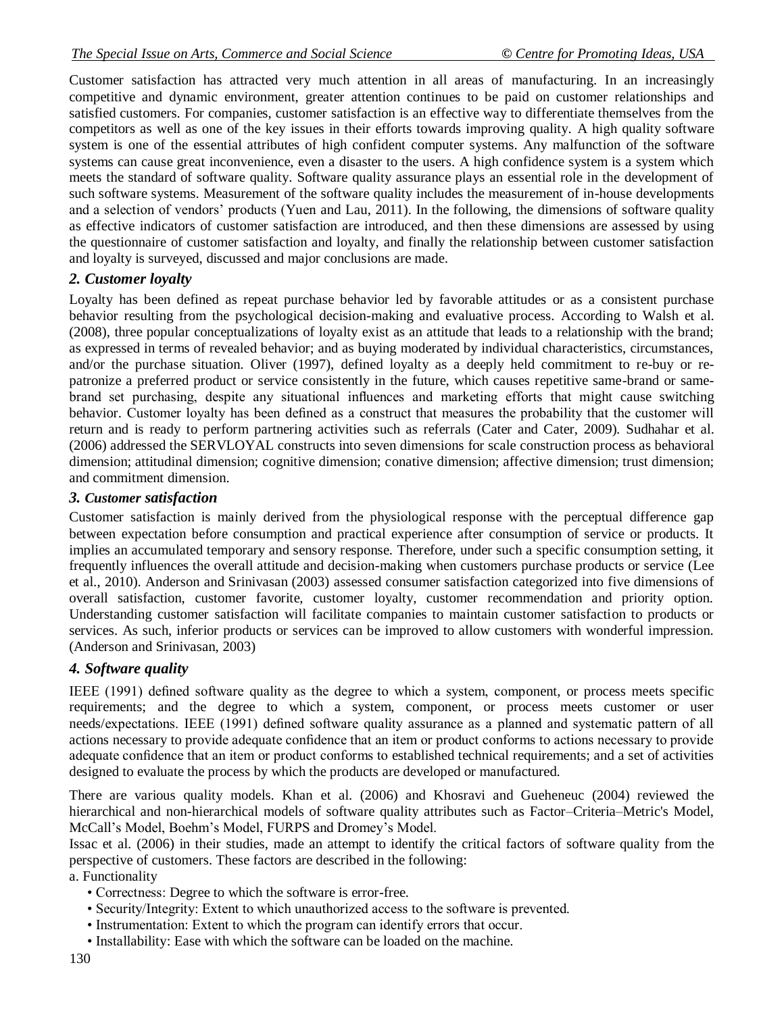Customer satisfaction has attracted very much attention in all areas of manufacturing. In an increasingly competitive and dynamic environment, greater attention continues to be paid on customer relationships and satisfied customers. For companies, customer satisfaction is an effective way to differentiate themselves from the competitors as well as one of the key issues in their efforts towards improving quality. A high quality software system is one of the essential attributes of high confident computer systems. Any malfunction of the software systems can cause great inconvenience, even a disaster to the users. A high confidence system is a system which meets the standard of software quality. Software quality assurance plays an essential role in the development of such software systems. Measurement of the software quality includes the measurement of in-house developments and a selection of vendors' products (Yuen and Lau, 2011). In the following, the dimensions of software quality as effective indicators of customer satisfaction are introduced, and then these dimensions are assessed by using the questionnaire of customer satisfaction and loyalty, and finally the relationship between customer satisfaction and loyalty is surveyed, discussed and major conclusions are made.

## *2. Customer loyalty*

Loyalty has been defined as repeat purchase behavior led by favorable attitudes or as a consistent purchase behavior resulting from the psychological decision-making and evaluative process. According to Walsh et al. (2008), three popular conceptualizations of loyalty exist as an attitude that leads to a relationship with the brand; as expressed in terms of revealed behavior; and as buying moderated by individual characteristics, circumstances, and/or the purchase situation. Oliver (1997), defined loyalty as a deeply held commitment to re-buy or repatronize a preferred product or service consistently in the future, which causes repetitive same-brand or samebrand set purchasing, despite any situational influences and marketing efforts that might cause switching behavior. Customer loyalty has been defined as a construct that measures the probability that the customer will return and is ready to perform partnering activities such as referrals (Cater and Cater, 2009). Sudhahar et al. (2006) addressed the SERVLOYAL constructs into seven dimensions for scale construction process as behavioral dimension; attitudinal dimension; cognitive dimension; conative dimension; affective dimension; trust dimension; and commitment dimension.

### *3. Customer satisfaction*

Customer satisfaction is mainly derived from the physiological response with the perceptual difference gap between expectation before consumption and practical experience after consumption of service or products. It implies an accumulated temporary and sensory response. Therefore, under such a specific consumption setting, it frequently influences the overall attitude and decision-making when customers purchase products or service (Lee et al., 2010). Anderson and Srinivasan (2003) assessed consumer satisfaction categorized into five dimensions of overall satisfaction, customer favorite, customer loyalty, customer recommendation and priority option. Understanding customer satisfaction will facilitate companies to maintain customer satisfaction to products or services. As such, inferior products or services can be improved to allow customers with wonderful impression. (Anderson and Srinivasan, 2003)

## *4. Software quality*

IEEE (1991) defined software quality as the degree to which a system, component, or process meets specific requirements; and the degree to which a system, component, or process meets customer or user needs/expectations. IEEE (1991) defined software quality assurance as a planned and systematic pattern of all actions necessary to provide adequate confidence that an item or product conforms to actions necessary to provide adequate confidence that an item or product conforms to established technical requirements; and a set of activities designed to evaluate the process by which the products are developed or manufactured.

There are various quality models. Khan et al. (2006) and Khosravi and Gueheneuc (2004) reviewed the hierarchical and non-hierarchical models of software quality attributes such as Factor–Criteria–Metric's Model, McCall's Model, Boehm's Model, FURPS and Dromey's Model.

Issac et al. (2006) in their studies, made an attempt to identify the critical factors of software quality from the perspective of customers. These factors are described in the following:

a. Functionality

- Correctness: Degree to which the software is error-free.
- Security/Integrity: Extent to which unauthorized access to the software is prevented.
- Instrumentation: Extent to which the program can identify errors that occur.
- Installability: Ease with which the software can be loaded on the machine.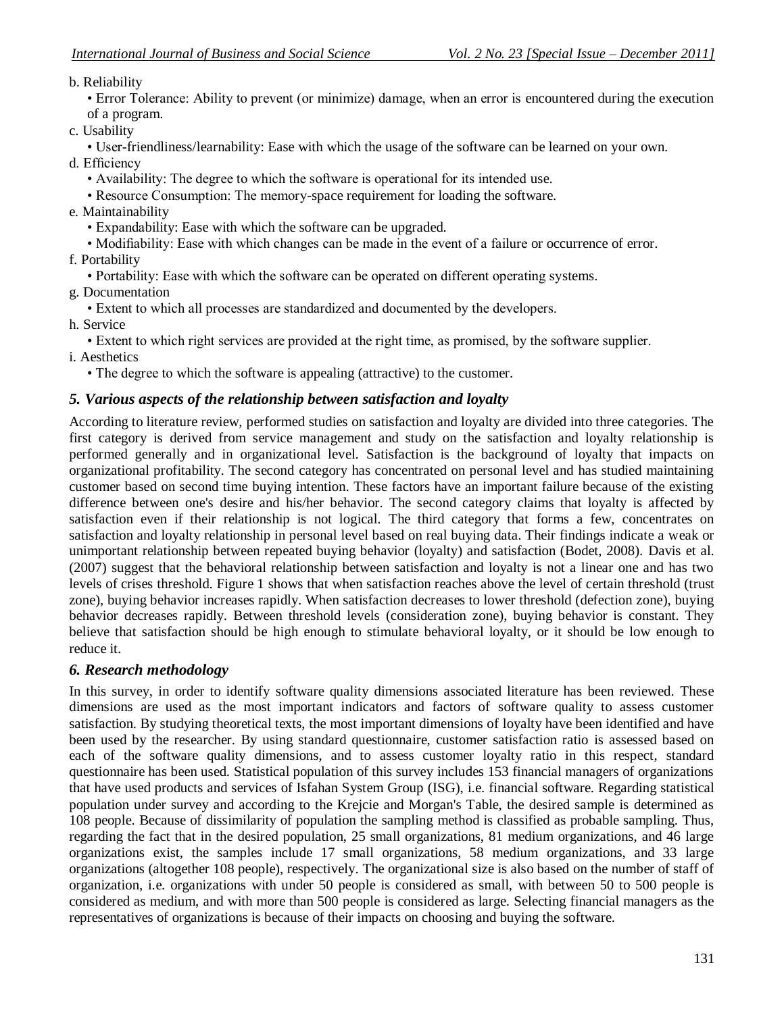## b. Reliability

• Error Tolerance: Ability to prevent (or minimize) damage, when an error is encountered during the execution of a program.

c. Usability

• User-friendliness/learnability: Ease with which the usage of the software can be learned on your own. d. Efficiency

- Availability: The degree to which the software is operational for its intended use.
- Resource Consumption: The memory-space requirement for loading the software.
- e. Maintainability
	- Expandability: Ease with which the software can be upgraded.
	- Modifiability: Ease with which changes can be made in the event of a failure or occurrence of error.
- f. Portability
	- Portability: Ease with which the software can be operated on different operating systems.
- g. Documentation
	- Extent to which all processes are standardized and documented by the developers.
- h. Service
	- Extent to which right services are provided at the right time, as promised, by the software supplier.
- i. Aesthetics
	- The degree to which the software is appealing (attractive) to the customer.

## *5. Various aspects of the relationship between satisfaction and loyalty*

According to literature review, performed studies on satisfaction and loyalty are divided into three categories. The first category is derived from service management and study on the satisfaction and loyalty relationship is performed generally and in organizational level. Satisfaction is the background of loyalty that impacts on organizational profitability. The second category has concentrated on personal level and has studied maintaining customer based on second time buying intention. These factors have an important failure because of the existing difference between one's desire and his/her behavior. The second category claims that loyalty is affected by satisfaction even if their relationship is not logical. The third category that forms a few, concentrates on satisfaction and loyalty relationship in personal level based on real buying data. Their findings indicate a weak or unimportant relationship between repeated buying behavior (loyalty) and satisfaction (Bodet, 2008). Davis et al. (2007) suggest that the behavioral relationship between satisfaction and loyalty is not a linear one and has two levels of crises threshold. Figure 1 shows that when satisfaction reaches above the level of certain threshold (trust zone), buying behavior increases rapidly. When satisfaction decreases to lower threshold (defection zone), buying behavior decreases rapidly. Between threshold levels (consideration zone), buying behavior is constant. They believe that satisfaction should be high enough to stimulate behavioral loyalty, or it should be low enough to reduce it.

## *6. Research methodology*

In this survey, in order to identify software quality dimensions associated literature has been reviewed. These dimensions are used as the most important indicators and factors of software quality to assess customer satisfaction. By studying theoretical texts, the most important dimensions of loyalty have been identified and have been used by the researcher. By using standard questionnaire, customer satisfaction ratio is assessed based on each of the software quality dimensions, and to assess customer loyalty ratio in this respect, standard questionnaire has been used. Statistical population of this survey includes 153 financial managers of organizations that have used products and services of Isfahan System Group (ISG), i.e. financial software. Regarding statistical population under survey and according to the Krejcie and Morgan's Table, the desired sample is determined as 108 people. Because of dissimilarity of population the sampling method is classified as probable sampling. Thus, regarding the fact that in the desired population, 25 small organizations, 81 medium organizations, and 46 large organizations exist, the samples include 17 small organizations, 58 medium organizations, and 33 large organizations (altogether 108 people), respectively. The organizational size is also based on the number of staff of organization, i.e. organizations with under 50 people is considered as small, with between 50 to 500 people is considered as medium, and with more than 500 people is considered as large. Selecting financial managers as the representatives of organizations is because of their impacts on choosing and buying the software.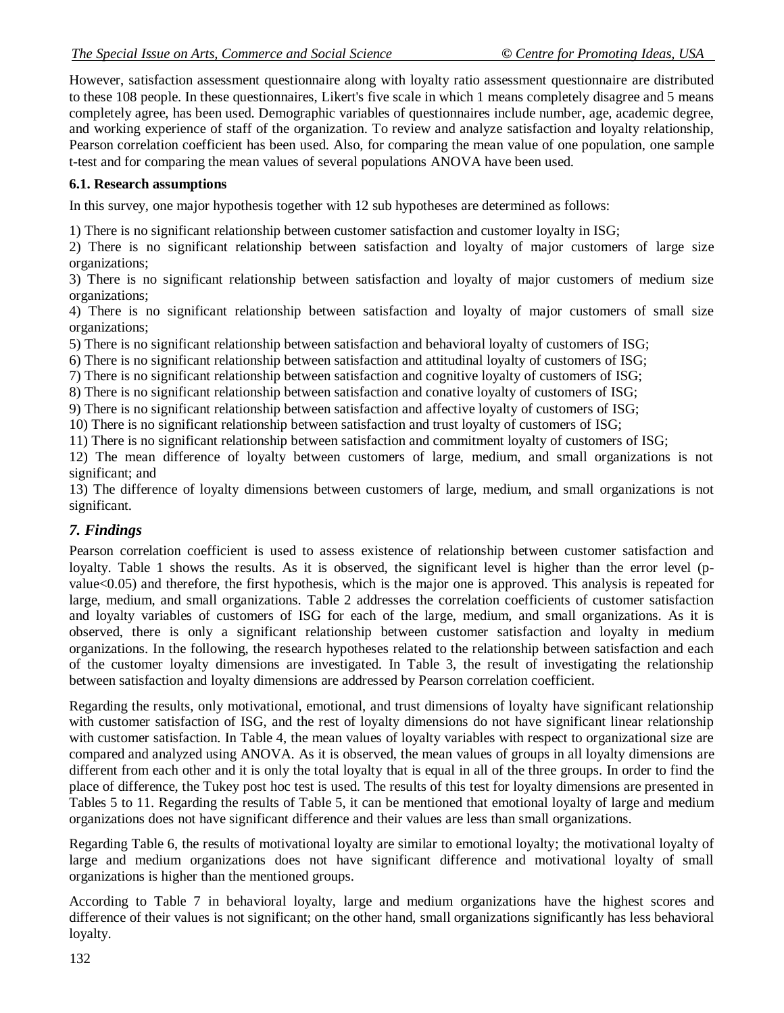However, satisfaction assessment questionnaire along with loyalty ratio assessment questionnaire are distributed to these 108 people. In these questionnaires, Likert's five scale in which 1 means completely disagree and 5 means completely agree, has been used. Demographic variables of questionnaires include number, age, academic degree, and working experience of staff of the organization. To review and analyze satisfaction and loyalty relationship, Pearson correlation coefficient has been used. Also, for comparing the mean value of one population, one sample t-test and for comparing the mean values of several populations ANOVA have been used.

### **6.1. Research assumptions**

In this survey, one major hypothesis together with 12 sub hypotheses are determined as follows:

1) There is no significant relationship between customer satisfaction and customer loyalty in ISG;

2) There is no significant relationship between satisfaction and loyalty of major customers of large size organizations;

3) There is no significant relationship between satisfaction and loyalty of major customers of medium size organizations;

4) There is no significant relationship between satisfaction and loyalty of major customers of small size organizations;

5) There is no significant relationship between satisfaction and behavioral loyalty of customers of ISG;

6) There is no significant relationship between satisfaction and attitudinal loyalty of customers of ISG;

7) There is no significant relationship between satisfaction and cognitive loyalty of customers of ISG;

8) There is no significant relationship between satisfaction and conative loyalty of customers of ISG;

9) There is no significant relationship between satisfaction and affective loyalty of customers of ISG;

10) There is no significant relationship between satisfaction and trust loyalty of customers of ISG;

11) There is no significant relationship between satisfaction and commitment loyalty of customers of ISG;

12) The mean difference of loyalty between customers of large, medium, and small organizations is not significant; and

13) The difference of loyalty dimensions between customers of large, medium, and small organizations is not significant.

## *7. Findings*

Pearson correlation coefficient is used to assess existence of relationship between customer satisfaction and loyalty. Table 1 shows the results. As it is observed, the significant level is higher than the error level (pvalue<0.05) and therefore, the first hypothesis, which is the major one is approved. This analysis is repeated for large, medium, and small organizations. Table 2 addresses the correlation coefficients of customer satisfaction and loyalty variables of customers of ISG for each of the large, medium, and small organizations. As it is observed, there is only a significant relationship between customer satisfaction and loyalty in medium organizations. In the following, the research hypotheses related to the relationship between satisfaction and each of the customer loyalty dimensions are investigated. In Table 3, the result of investigating the relationship between satisfaction and loyalty dimensions are addressed by Pearson correlation coefficient.

Regarding the results, only motivational, emotional, and trust dimensions of loyalty have significant relationship with customer satisfaction of ISG, and the rest of loyalty dimensions do not have significant linear relationship with customer satisfaction. In Table 4, the mean values of loyalty variables with respect to organizational size are compared and analyzed using ANOVA. As it is observed, the mean values of groups in all loyalty dimensions are different from each other and it is only the total loyalty that is equal in all of the three groups. In order to find the place of difference, the Tukey post hoc test is used. The results of this test for loyalty dimensions are presented in Tables 5 to 11. Regarding the results of Table 5, it can be mentioned that emotional loyalty of large and medium organizations does not have significant difference and their values are less than small organizations.

Regarding Table 6, the results of motivational loyalty are similar to emotional loyalty; the motivational loyalty of large and medium organizations does not have significant difference and motivational loyalty of small organizations is higher than the mentioned groups.

According to Table 7 in behavioral loyalty, large and medium organizations have the highest scores and difference of their values is not significant; on the other hand, small organizations significantly has less behavioral loyalty.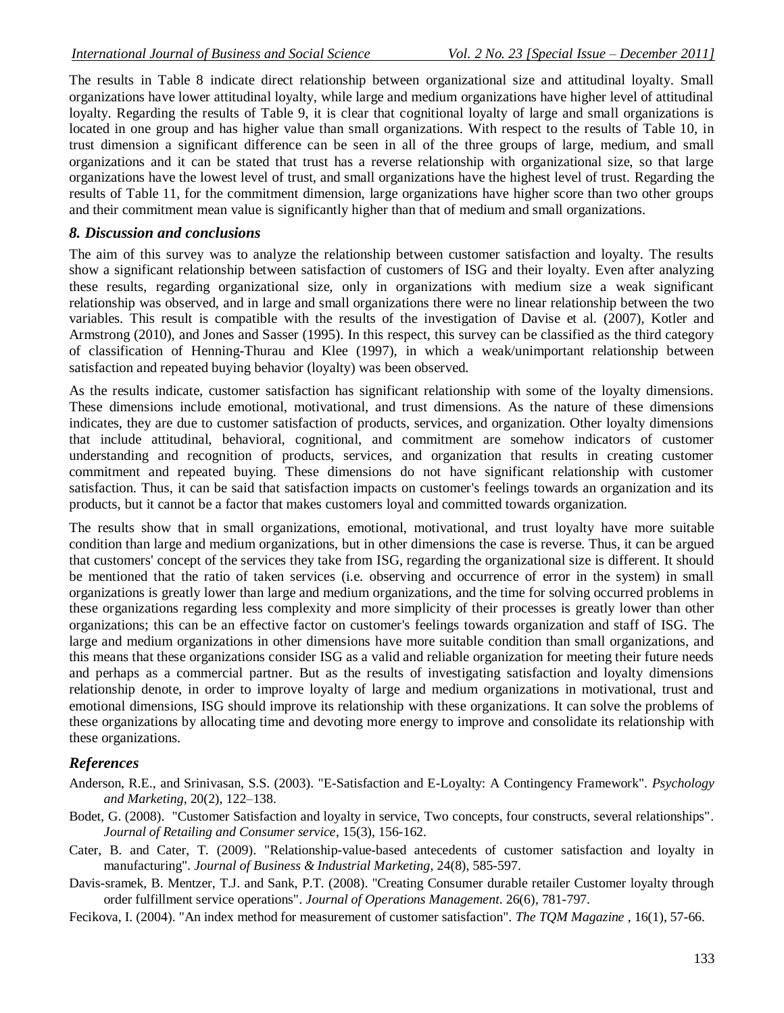The results in Table 8 indicate direct relationship between organizational size and attitudinal loyalty. Small organizations have lower attitudinal loyalty, while large and medium organizations have higher level of attitudinal loyalty. Regarding the results of Table 9, it is clear that cognitional loyalty of large and small organizations is located in one group and has higher value than small organizations. With respect to the results of Table 10, in trust dimension a significant difference can be seen in all of the three groups of large, medium, and small organizations and it can be stated that trust has a reverse relationship with organizational size, so that large organizations have the lowest level of trust, and small organizations have the highest level of trust. Regarding the results of Table 11, for the commitment dimension, large organizations have higher score than two other groups and their commitment mean value is significantly higher than that of medium and small organizations.

#### *8. Discussion and conclusions*

The aim of this survey was to analyze the relationship between customer satisfaction and loyalty. The results show a significant relationship between satisfaction of customers of ISG and their loyalty. Even after analyzing these results, regarding organizational size, only in organizations with medium size a weak significant relationship was observed, and in large and small organizations there were no linear relationship between the two variables. This result is compatible with the results of the investigation of Davise et al. (2007), Kotler and Armstrong (2010), and Jones and Sasser (1995). In this respect, this survey can be classified as the third category of classification of Henning-Thurau and Klee (1997), in which a weak/unimportant relationship between satisfaction and repeated buying behavior (loyalty) was been observed.

As the results indicate, customer satisfaction has significant relationship with some of the loyalty dimensions. These dimensions include emotional, motivational, and trust dimensions. As the nature of these dimensions indicates, they are due to customer satisfaction of products, services, and organization. Other loyalty dimensions that include attitudinal, behavioral, cognitional, and commitment are somehow indicators of customer understanding and recognition of products, services, and organization that results in creating customer commitment and repeated buying. These dimensions do not have significant relationship with customer satisfaction. Thus, it can be said that satisfaction impacts on customer's feelings towards an organization and its products, but it cannot be a factor that makes customers loyal and committed towards organization.

The results show that in small organizations, emotional, motivational, and trust loyalty have more suitable condition than large and medium organizations, but in other dimensions the case is reverse. Thus, it can be argued that customers' concept of the services they take from ISG, regarding the organizational size is different. It should be mentioned that the ratio of taken services (i.e. observing and occurrence of error in the system) in small organizations is greatly lower than large and medium organizations, and the time for solving occurred problems in these organizations regarding less complexity and more simplicity of their processes is greatly lower than other organizations; this can be an effective factor on customer's feelings towards organization and staff of ISG. The large and medium organizations in other dimensions have more suitable condition than small organizations, and this means that these organizations consider ISG as a valid and reliable organization for meeting their future needs and perhaps as a commercial partner. But as the results of investigating satisfaction and loyalty dimensions relationship denote, in order to improve loyalty of large and medium organizations in motivational, trust and emotional dimensions, ISG should improve its relationship with these organizations. It can solve the problems of these organizations by allocating time and devoting more energy to improve and consolidate its relationship with these organizations.

### *References*

- Anderson, R.E., and Srinivasan, S.S. (2003). "E-Satisfaction and E-Loyalty: A Contingency Framework". *Psychology and Marketing*, 20(2), 122–138.
- Bodet, G. (2008). "Customer Satisfaction and loyalty in service, Two concepts, four constructs, several relationships". *Journal of Retailing and Consumer service*, 15(3), 156-162.
- Cater, B. and Cater, T. (2009). "Relationship-value-based antecedents of customer satisfaction and loyalty in manufacturing". *Journal of Business & Industrial Marketing*, 24(8), 585-597.
- Davis-sramek, B. Mentzer, T.J. and Sank, P.T. (2008). "Creating Consumer durable retailer Customer loyalty through order fulfillment service operations". *Journal of Operations Management*. 26(6), 781-797.
- Fecikova, I. (2004). "An index method for measurement of customer satisfaction". *The TQM Magazine* , 16(1), 57-66.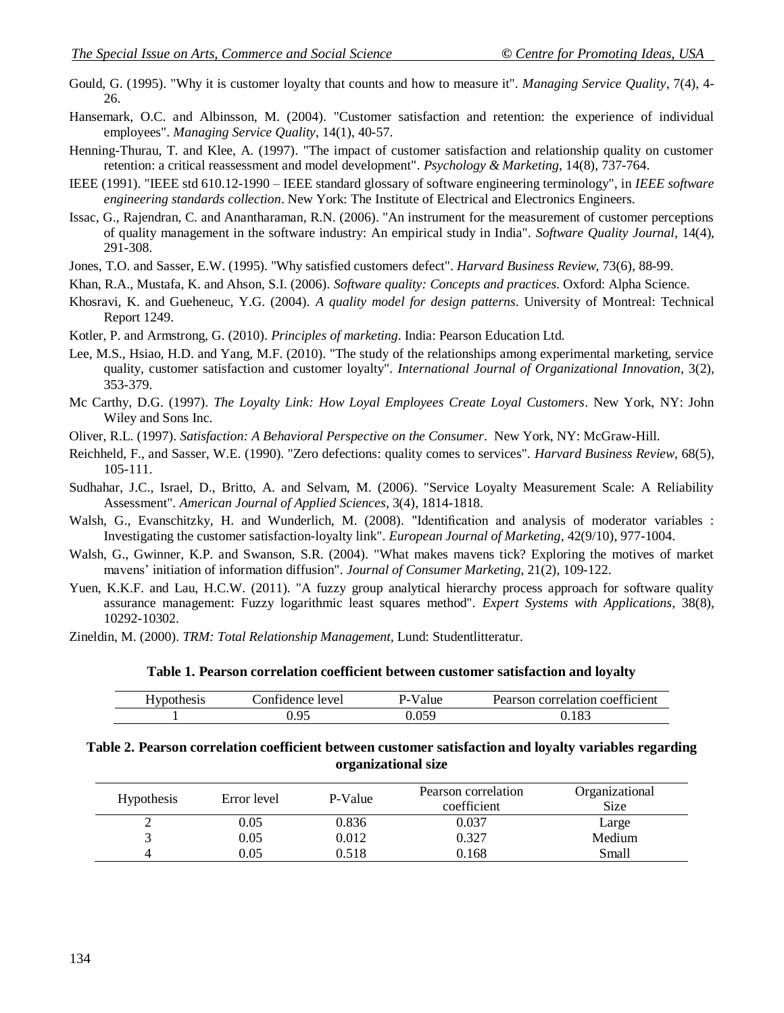- Gould, G. (1995). "Why it is customer loyalty that counts and how to measure it". *Managing Service Quality*, 7(4), 4- 26.
- Hansemark, O.C. and Albinsson, M. (2004). "Customer satisfaction and retention: the experience of individual employees". *Managing Service Quality*, 14(1), 40-57.
- Henning-Thurau, T. and Klee, A. (1997). "The impact of customer satisfaction and relationship quality on customer retention: a critical reassessment and model development". *Psychology & Marketing*, 14(8), 737-764.
- IEEE (1991). "IEEE std 610.12-1990 IEEE standard glossary of software engineering terminology", in *IEEE software engineering standards collection*. New York: The Institute of Electrical and Electronics Engineers.
- Issac, G., Rajendran, C. and Anantharaman, R.N. (2006). "An instrument for the measurement of customer perceptions of quality management in the software industry: An empirical study in India". *Software Quality Journal*, 14(4), 291-308.
- Jones, T.O. and Sasser, E.W. (1995). "Why satisfied customers defect". *Harvard Business Review*, 73(6), 88-99.
- Khan, R.A., Mustafa, K. and Ahson, S.I. (2006). *Software quality: Concepts and practices*. Oxford: Alpha Science.
- Khosravi, K. and Gueheneuc, Y.G. (2004). *A quality model for design patterns*. University of Montreal: Technical Report 1249.
- Kotler, P. and Armstrong, G. (2010). *Principles of marketing*. India: Pearson Education Ltd.
- Lee, M.S., Hsiao, H.D. and Yang, M.F. (2010). "The study of the relationships among experimental marketing, service quality, customer satisfaction and customer loyalty". *International Journal of Organizational Innovation*, 3(2), 353-379.
- Mc Carthy, D.G. (1997). *The Loyalty Link: How Loyal Employees Create Loyal Customers*. New York, NY: John Wiley and Sons Inc.
- Oliver, R.L. (1997). *Satisfaction: A Behavioral Perspective on the Consumer*. New York, NY: McGraw-Hill.
- Reichheld, F., and Sasser, W.E. (1990). "Zero defections: quality comes to services". *Harvard Business Review*, 68(5), 105-111.
- Sudhahar, J.C., Israel, D., Britto, A. and Selvam, M. (2006). "Service Loyalty Measurement Scale: A Reliability Assessment". *American Journal of Applied Sciences*, 3(4), 1814-1818.
- Walsh, G., Evanschitzky, H. and Wunderlich, M. (2008). "Identification and analysis of moderator variables : Investigating the customer satisfaction-loyalty link". *European Journal of Marketing*, 42(9/10), 977-1004.
- Walsh, G., Gwinner, K.P. and Swanson, S.R. (2004). "What makes mavens tick? Exploring the motives of market mavens' initiation of information diffusion". *Journal of Consumer Marketing*, 21(2), 109-122.
- Yuen, K.K.F. and Lau, H.C.W. (2011). "A fuzzy group analytical hierarchy process approach for software quality assurance management: Fuzzy logarithmic least squares method". *Expert Systems with Applications*, 38(8), 10292-10302.
- Zineldin, M. (2000). *TRM: Total Relationship Management,* Lund: Studentlitteratur.

**Table 1. Pearson correlation coefficient between customer satisfaction and loyalty**

| <b>Hypothesis</b> | Confidence level | ∠-Value | Pearson correlation coefficient |
|-------------------|------------------|---------|---------------------------------|
|                   |                  |         | .83                             |

#### **Table 2. Pearson correlation coefficient between customer satisfaction and loyalty variables regarding organizational size**

| <b>Hypothesis</b> | Error level | P-Value | Pearson correlation<br>coefficient | Organizational<br><b>Size</b> |
|-------------------|-------------|---------|------------------------------------|-------------------------------|
| ∠                 | 0.05        | 0.836   | 0.037                              | Large                         |
|                   | 0.05        | 0.012   | 0.327                              | Medium                        |
| 4                 | 0.05        | 0.518   | 0.168                              | Small                         |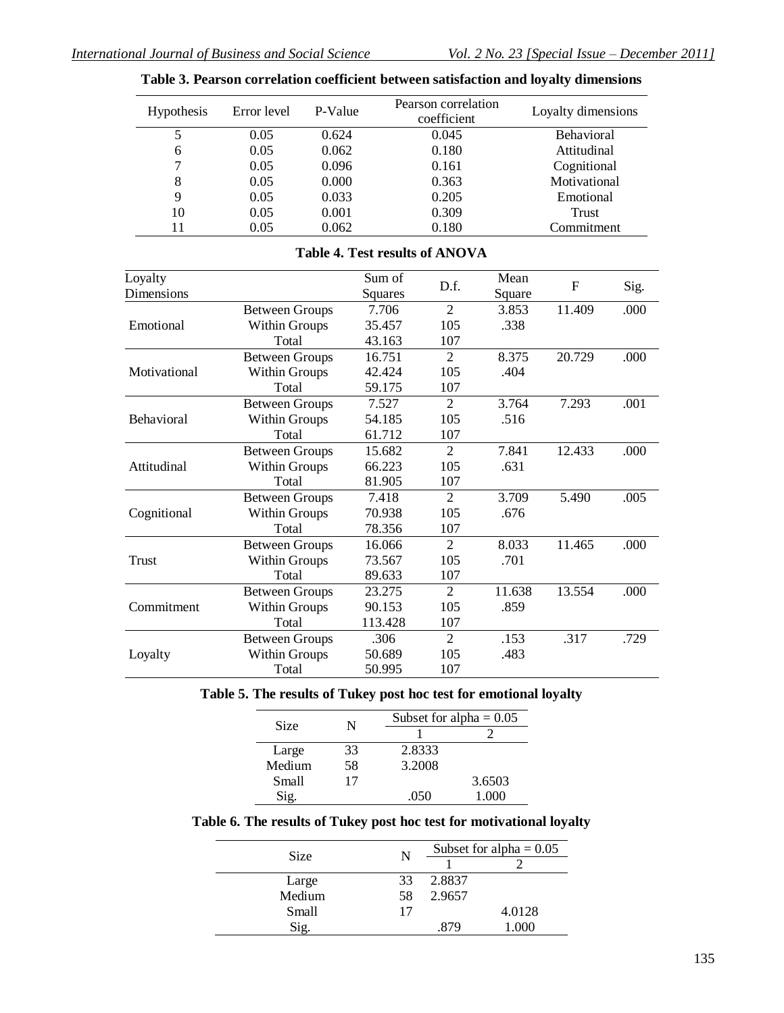| <b>Hypothesis</b> | Error level | P-Value | Pearson correlation<br>coefficient | Loyalty dimensions |
|-------------------|-------------|---------|------------------------------------|--------------------|
|                   | 0.05        | 0.624   | 0.045                              | <b>Behavioral</b>  |
| 6                 | 0.05        | 0.062   | 0.180                              | Attitudinal        |
| 7                 | 0.05        | 0.096   | 0.161                              | Cognitional        |
| 8                 | 0.05        | 0.000   | 0.363                              | Motivational       |
| 9                 | 0.05        | 0.033   | 0.205                              | Emotional          |
| 10                | 0.05        | 0.001   | 0.309                              | <b>Trust</b>       |
| 11                | 0.05        | 0.062   | 0.180                              | Commitment         |

#### **Table 3. Pearson correlation coefficient between satisfaction and loyalty dimensions**

#### **Table 4. Test results of ANOVA**

| Loyalty      |                       | Sum of  | D.f.           | Mean   | F      |      |
|--------------|-----------------------|---------|----------------|--------|--------|------|
| Dimensions   |                       | Squares |                | Square |        | Sig. |
|              | <b>Between Groups</b> | 7.706   | $\mathfrak{D}$ | 3.853  | 11.409 | .000 |
| Emotional    | <b>Within Groups</b>  | 35.457  | 105            | .338   |        |      |
|              | Total                 | 43.163  | 107            |        |        |      |
|              | <b>Between Groups</b> | 16.751  | $\overline{2}$ | 8.375  | 20.729 | .000 |
| Motivational | <b>Within Groups</b>  | 42.424  | 105            | .404   |        |      |
|              | Total                 | 59.175  | 107            |        |        |      |
|              | <b>Between Groups</b> | 7.527   | $\mathfrak{D}$ | 3.764  | 7.293  | .001 |
| Behavioral   | <b>Within Groups</b>  | 54.185  | 105            | .516   |        |      |
|              | Total                 | 61.712  | 107            |        |        |      |
|              | <b>Between Groups</b> | 15.682  | $\overline{2}$ | 7.841  | 12.433 | .000 |
| Attitudinal  | <b>Within Groups</b>  | 66.223  | 105            | .631   |        |      |
|              | Total                 | 81.905  | 107            |        |        |      |
|              | <b>Between Groups</b> | 7.418   | $\overline{2}$ | 3.709  | 5.490  | .005 |
| Cognitional  | <b>Within Groups</b>  | 70.938  | 105            | .676   |        |      |
|              | Total                 | 78.356  | 107            |        |        |      |
|              | <b>Between Groups</b> | 16.066  | 2              | 8.033  | 11.465 | .000 |
| <b>Trust</b> | <b>Within Groups</b>  | 73.567  | 105            | .701   |        |      |
|              | Total                 | 89.633  | 107            |        |        |      |
|              | <b>Between Groups</b> | 23.275  | $\overline{2}$ | 11.638 | 13.554 | .000 |
| Commitment   | <b>Within Groups</b>  | 90.153  | 105            | .859   |        |      |
|              | Total                 | 113.428 | 107            |        |        |      |
|              | <b>Between Groups</b> | .306    | $\overline{2}$ | .153   | .317   | .729 |
| Loyalty      | <b>Within Groups</b>  | 50.689  | 105            | .483   |        |      |
|              | Total                 | 50.995  | 107            |        |        |      |

## **Table 5. The results of Tukey post hoc test for emotional loyalty**

| Size   | N  |        | Subset for alpha $= 0.05$ |
|--------|----|--------|---------------------------|
|        |    |        |                           |
| Large  | 33 | 2.8333 |                           |
| Medium | 58 | 3.2008 |                           |
| Small  | 17 |        | 3.6503                    |
|        |    | .050   | 1000                      |

#### **Table 6. The results of Tukey post hoc test for motivational loyalty**

| <b>Size</b> | N  | Subset for alpha = $0.05$ |        |
|-------------|----|---------------------------|--------|
|             |    |                           |        |
| Large       | 33 | 2.8837                    |        |
| Medium      | 58 | 2.9657                    |        |
| Small       | 17 |                           | 4.0128 |
| Sig.        |    | .879                      | 1.000  |